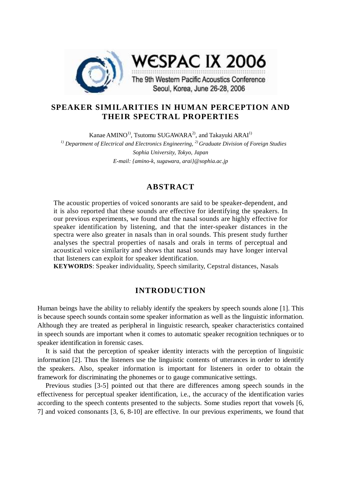

# **SPEAKER SIMILARITIES IN HUMAN PERCEPTION AND THEIR SPECTRAL PROPERTIES**

Kanae AMINO<sup>1)</sup>, Tsutomu SUGAWARA<sup>2)</sup>, and Takayuki ARAI<sup>1)</sup> *1) Department of Electrical and Electronics Engineering, 2) Graduate Division of Foreign Studies Sophia University, Tokyo, Japan E-mail: {amino-k, sugawara, arai}@sophia.ac.jp*

# **ABSTRACT**

The acoustic properties of voiced sonorants are said to be speaker-dependent, and it is also reported that these sounds are effective for identifying the speakers. In our previous experiments, we found that the nasal sounds are highly effective for speaker identification by listening, and that the inter-speaker distances in the spectra were also greater in nasals than in oral sounds. This present study further analyses the spectral properties of nasals and orals in terms of perceptual and acoustical voice similarity and shows that nasal sounds may have longer interval that listeners can exploit for speaker identification.

**KEYWORDS**: Speaker individuality, Speech similarity, Cepstral distances, Nasals

## **INTRODUCTION**

Human beings have the ability to reliably identify the speakers by speech sounds alone [1]. This is because speech sounds contain some speaker information as well as the linguistic information. Although they are treated as peripheral in linguistic research, speaker characteristics contained in speech sounds are important when it comes to automatic speaker recognition techniques or to speaker identification in forensic cases.

It is said that the perception of speaker identity interacts with the perception of linguistic information [2]. Thus the listeners use the linguistic contents of utterances in order to identify the speakers. Also, speaker information is important for listeners in order to obtain the framework for discriminating the phonemes or to gauge communicative settings.

Previous studies [3-5] pointed out that there are differences among speech sounds in the effectiveness for perceptual speaker identification, i.e., the accuracy of the identification varies according to the speech contents presented to the subjects. Some studies report that vowels [6, 7] and voiced consonants [3, 6, 8-10] are effective. In our previous experiments, we found that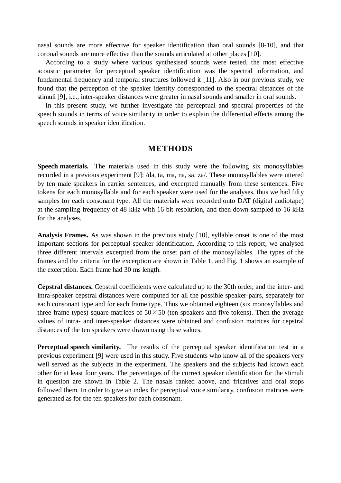nasal sounds are more effective for speaker identification than oral sounds [8-10], and that coronal sounds are more effective than the sounds articulated at other places [10].

According to a study where various synthesised sounds were tested, the most effective acoustic parameter for perceptual speaker identification was the spectral information, and fundamental frequency and temporal structures followed it [11]. Also in our previous study, we found that the perception of the speaker identity corresponded to the spectral distances of the stimuli [9], i.e., inter-speaker distances were greater in nasal sounds and smaller in oral sounds.

In this present study, we further investigate the perceptual and spectral properties of the speech sounds in terms of voice similarity in order to explain the differential effects among the speech sounds in speaker identification.

# **METHODS**

**Speech materials.** The materials used in this study were the following six monosyllables recorded in a previous experiment [9]: /da, ta, ma, na, sa, za/. These monosyllables were uttered by ten male speakers in carrier sentences, and excerpted manually from these sentences. Five tokens for each monosyllable and for each speaker were used for the analyses, thus we had fifty samples for each consonant type. All the materials were recorded onto DAT (digital audiotape) at the sampling frequency of 48 kHz with 16 bit resolution, and then down-sampled to 16 kHz for the analyses.

**Analysis Frames.** As was shown in the previous study [10], syllable onset is one of the most important sections for perceptual speaker identification. According to this report, we analysed three different intervals excerpted from the onset part of the monosyllables. The types of the frames and the criteria for the excerption are shown in Table 1, and Fig. 1 shows an example of the excerption. Each frame had 30 ms length.

**Cepstral distances.** Cepstral coefficients were calculated up to the 30th order, and the inter- and intra-speaker cepstral distances were computed for all the possible speaker-pairs, separately for each consonant type and for each frame type. Thus we obtained eighteen (six monosyllables and three frame types) square matrices of  $50 \times 50$  (ten speakers and five tokens). Then the average values of intra- and inter-speaker distances were obtained and confusion matrices for cepstral distances of the ten speakers were drawn using these values.

**Perceptual speech similarity.** The results of the perceptual speaker identification test in a previous experiment [9] were used in this study. Five students who know all of the speakers very well served as the subjects in the experiment. The speakers and the subjects had known each other for at least four years. The percentages of the correct speaker identification for the stimuli in question are shown in Table 2. The nasals ranked above, and fricatives and oral stops followed them. In order to give an index for perceptual voice similarity, confusion matrices were generated as for the ten speakers for each consonant.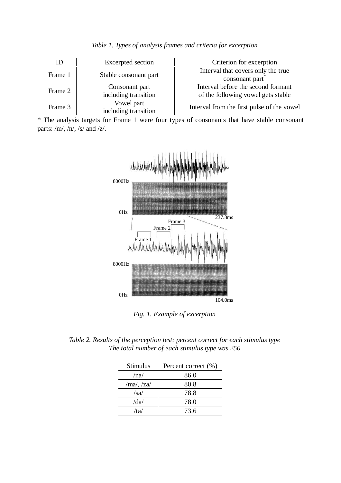| ID      | Excerpted section                      | Criterion for excerption                                                 |  |
|---------|----------------------------------------|--------------------------------------------------------------------------|--|
| Frame 1 | Stable consonant part                  | Interval that covers only the true<br>consonant part                     |  |
| Frame 2 | Consonant part<br>including transition | Interval before the second formant<br>of the following vowel gets stable |  |
| Frame 3 | Vowel part<br>including transition     | Interval from the first pulse of the vowel                               |  |

*Table 1. Types of analysis frames and criteria for excerption* 

\* The analysis targets for Frame 1 were four types of consonants that have stable consonant parts: /m/, /n/, /s/ and /z/.



*Fig. 1. Example of excerption* 

*Table 2. Results of the perception test: percent correct for each stimulus type The total number of each stimulus type was 250* 

| <b>Stimulus</b> | Percent correct (%) |  |
|-----------------|---------------------|--|
| /na/            | 86.0                |  |
| $/ma/$ , $/za/$ | 80.8                |  |
| /sa/            | 78.8                |  |
| /da/            | 78.0                |  |
| /ta/            | 73.6                |  |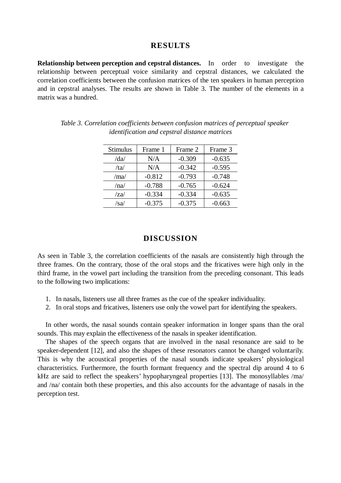### **RESULTS**

**Relationship between perception and cepstral distances.** In order to investigate the relationship between perceptual voice similarity and cepstral distances, we calculated the correlation coefficients between the confusion matrices of the ten speakers in human perception and in cepstral analyses. The results are shown in Table 3. The number of the elements in a matrix was a hundred.

| <b>Stimulus</b>      | Frame 1  | Frame 2  | Frame 3  |
|----------------------|----------|----------|----------|
| $\frac{d}{da}$       | N/A      | $-0.309$ | $-0.635$ |
| /ta/                 | N/A      | $-0.342$ | $-0.595$ |
| /ma/                 | $-0.812$ | $-0.793$ | $-0.748$ |
| /na/                 | $-0.788$ | $-0.765$ | $-0.624$ |
| $\langle za \rangle$ | $-0.334$ | $-0.334$ | $-0.635$ |
| /sa/                 | $-0.375$ | $-0.375$ | $-0.663$ |

*Table 3. Correlation coefficients between confusion matrices of perceptual speaker identification and cepstral distance matrices* 

#### **DISCUSSION**

As seen in Table 3, the correlation coefficients of the nasals are consistently high through the three frames. On the contrary, those of the oral stops and the fricatives were high only in the third frame, in the vowel part including the transition from the preceding consonant. This leads to the following two implications:

- 1. In nasals, listeners use all three frames as the cue of the speaker individuality.
- 2. In oral stops and fricatives, listeners use only the vowel part for identifying the speakers.

In other words, the nasal sounds contain speaker information in longer spans than the oral sounds. This may explain the effectiveness of the nasals in speaker identification.

The shapes of the speech organs that are involved in the nasal resonance are said to be speaker-dependent [12], and also the shapes of these resonators cannot be changed voluntarily. This is why the acoustical properties of the nasal sounds indicate speakers' physiological characteristics. Furthermore, the fourth formant frequency and the spectral dip around 4 to 6 kHz are said to reflect the speakers' hypopharyngeal properties [13]. The monosyllables /ma/ and /na/ contain both these properties, and this also accounts for the advantage of nasals in the perception test.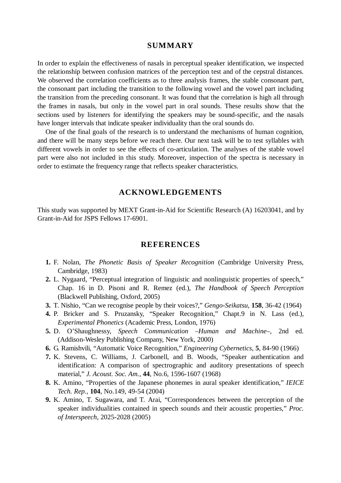### **SUMMARY**

In order to explain the effectiveness of nasals in perceptual speaker identification, we inspected the relationship between confusion matrices of the perception test and of the cepstral distances. We observed the correlation coefficients as to three analysis frames, the stable consonant part, the consonant part including the transition to the following vowel and the vowel part including the transition from the preceding consonant. It was found that the correlation is high all through the frames in nasals, but only in the vowel part in oral sounds. These results show that the sections used by listeners for identifying the speakers may be sound-specific, and the nasals have longer intervals that indicate speaker individuality than the oral sounds do.

One of the final goals of the research is to understand the mechanisms of human cognition, and there will be many steps before we reach there. Our next task will be to test syllables with different vowels in order to see the effects of co-articulation. The analyses of the stable vowel part were also not included in this study. Moreover, inspection of the spectra is necessary in order to estimate the frequency range that reflects speaker characteristics.

# **ACKNOWLEDGEMENTS**

This study was supported by MEXT Grant-in-Aid for Scientific Research (A) 16203041, and by Grant-in-Aid for JSPS Fellows 17-6901.

#### **REFERENCES**

- **1.** F. Nolan, *The Phonetic Basis of Speaker Recognition* (Cambridge University Press, Cambridge, 1983)
- **2.** L. Nygaard, "Perceptual integration of linguistic and nonlinguistic properties of speech," Chap. 16 in D. Pisoni and R. Remez (ed.), *The Handbook of Speech Perception* (Blackwell Publishing, Oxford, 2005)
- **3.** T. Nishio, "Can we recognise people by their voices?," *Gengo-Seikatsu*, **158**, 36-42 (1964)
- **4.** P. Bricker and S. Pruzansky, "Speaker Recognition," Chapt.9 in N. Lass (ed.), *Experimental Phonetics* (Academic Press, London, 1976)
- **5.** D. O'Shaughnessy, *Speech Communication –Human and Machine–*, 2nd ed. (Addison-Wesley Publishing Company, New York, 2000)
- **6.** G. Ramishvili, "Automatic Voice Recognition," *Engineering Cybernetics*, **5**, 84-90 (1966)
- **7.** K. Stevens, C. Williams, J. Carbonell, and B. Woods, "Speaker authentication and identification: A comparison of spectrographic and auditory presentations of speech material," *J. Acoust. Soc. Am.*, **44**, No.6, 1596-1607 (1968)
- **8.** K. Amino, "Properties of the Japanese phonemes in aural speaker identification," *IEICE Tech. Rep.*, **104**, No.149, 49-54 (2004)
- **9.** K. Amino, T. Sugawara, and T. Arai, "Correspondences between the perception of the speaker individualities contained in speech sounds and their acoustic properties," *Proc. of Interspeech*, 2025-2028 (2005)